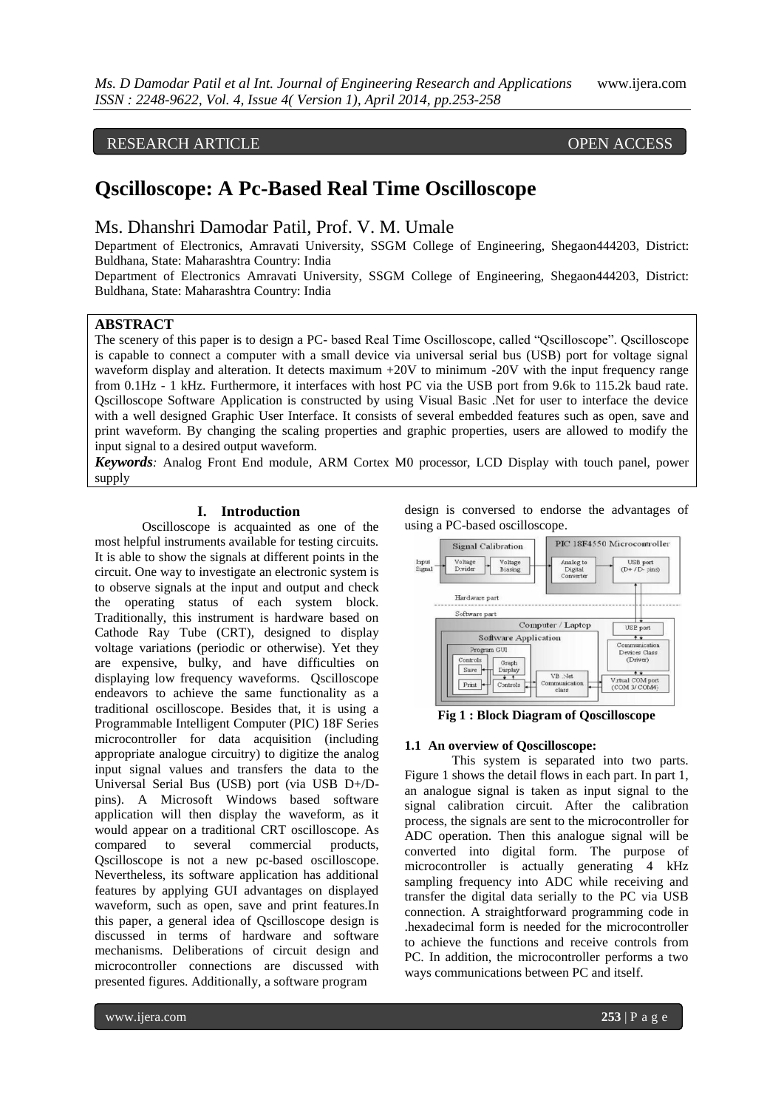# RESEARCH ARTICLE OPEN ACCESS

# **Qscilloscope: A Pc-Based Real Time Oscilloscope**

# Ms. Dhanshri Damodar Patil, Prof. V. M. Umale

Department of Electronics, Amravati University, SSGM College of Engineering, Shegaon444203, District: Buldhana, State: Maharashtra Country: India

Department of Electronics Amravati University, SSGM College of Engineering, Shegaon444203, District: Buldhana, State: Maharashtra Country: India

# **ABSTRACT**

The scenery of this paper is to design a PC- based Real Time Oscilloscope, called "Qscilloscope". Qscilloscope is capable to connect a computer with a small device via universal serial bus (USB) port for voltage signal waveform display and alteration. It detects maximum +20V to minimum -20V with the input frequency range from 0.1Hz - 1 kHz. Furthermore, it interfaces with host PC via the USB port from 9.6k to 115.2k baud rate. Qscilloscope Software Application is constructed by using Visual Basic .Net for user to interface the device with a well designed Graphic User Interface. It consists of several embedded features such as open, save and print waveform. By changing the scaling properties and graphic properties, users are allowed to modify the input signal to a desired output waveform.

*Keywords:* Analog Front End module, ARM Cortex M0 processor, LCD Display with touch panel, power supply

#### **I. Introduction**

Oscilloscope is acquainted as one of the most helpful instruments available for testing circuits. It is able to show the signals at different points in the circuit. One way to investigate an electronic system is to observe signals at the input and output and check the operating status of each system block. Traditionally, this instrument is hardware based on Cathode Ray Tube (CRT), designed to display voltage variations (periodic or otherwise). Yet they are expensive, bulky, and have difficulties on displaying low frequency waveforms. Qscilloscope endeavors to achieve the same functionality as a traditional oscilloscope. Besides that, it is using a Programmable Intelligent Computer (PIC) 18F Series microcontroller for data acquisition (including appropriate analogue circuitry) to digitize the analog input signal values and transfers the data to the Universal Serial Bus (USB) port (via USB D+/Dpins). A Microsoft Windows based software application will then display the waveform, as it would appear on a traditional CRT oscilloscope. As compared to several commercial products, Qscilloscope is not a new pc-based oscilloscope. Nevertheless, its software application has additional features by applying GUI advantages on displayed waveform, such as open, save and print features.In this paper, a general idea of Qscilloscope design is discussed in terms of hardware and software mechanisms. Deliberations of circuit design and microcontroller connections are discussed with presented figures. Additionally, a software program

design is conversed to endorse the advantages of using a PC-based oscilloscope.



**Fig 1 : Block Diagram of Qoscilloscope**

#### **1.1 An overview of Qoscilloscope:**

This system is separated into two parts. Figure 1 shows the detail flows in each part. In part 1, an analogue signal is taken as input signal to the signal calibration circuit. After the calibration process, the signals are sent to the microcontroller for ADC operation. Then this analogue signal will be converted into digital form. The purpose of microcontroller is actually generating 4 kHz sampling frequency into ADC while receiving and transfer the digital data serially to the PC via USB connection. A straightforward programming code in .hexadecimal form is needed for the microcontroller to achieve the functions and receive controls from PC. In addition, the microcontroller performs a two ways communications between PC and itself.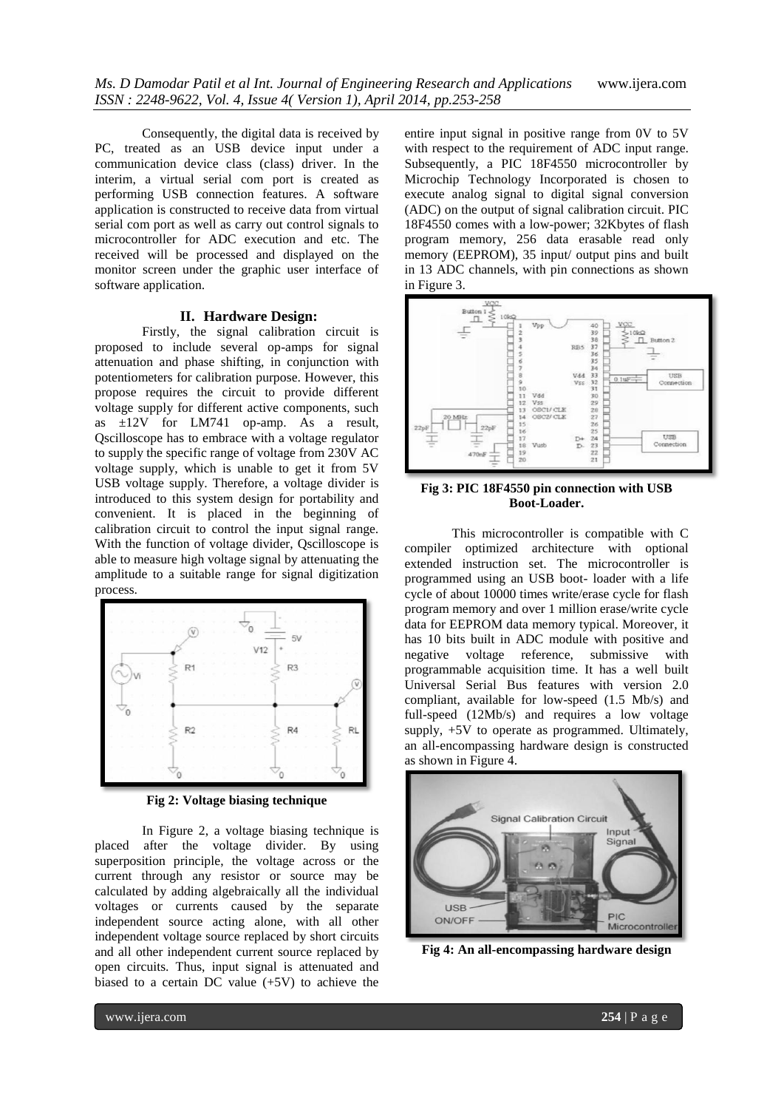Consequently, the digital data is received by PC, treated as an USB device input under a communication device class (class) driver. In the interim, a virtual serial com port is created as performing USB connection features. A software application is constructed to receive data from virtual serial com port as well as carry out control signals to microcontroller for ADC execution and etc. The received will be processed and displayed on the monitor screen under the graphic user interface of software application.

#### **II. Hardware Design:**

Firstly, the signal calibration circuit is proposed to include several op-amps for signal attenuation and phase shifting, in conjunction with potentiometers for calibration purpose. However, this propose requires the circuit to provide different voltage supply for different active components, such as ±12V for LM741 op-amp. As a result, Qscilloscope has to embrace with a voltage regulator to supply the specific range of voltage from 230V AC voltage supply, which is unable to get it from 5V USB voltage supply. Therefore, a voltage divider is introduced to this system design for portability and convenient. It is placed in the beginning of calibration circuit to control the input signal range. With the function of voltage divider, Oscilloscope is able to measure high voltage signal by attenuating the amplitude to a suitable range for signal digitization process.



**Fig 2: Voltage biasing technique**

In Figure 2, a voltage biasing technique is placed after the voltage divider. By using superposition principle, the voltage across or the current through any resistor or source may be calculated by adding algebraically all the individual voltages or currents caused by the separate independent source acting alone, with all other independent voltage source replaced by short circuits and all other independent current source replaced by open circuits. Thus, input signal is attenuated and biased to a certain DC value (+5V) to achieve the

entire input signal in positive range from 0V to 5V with respect to the requirement of ADC input range. Subsequently, a PIC 18F4550 microcontroller by Microchip Technology Incorporated is chosen to execute analog signal to digital signal conversion (ADC) on the output of signal calibration circuit. PIC 18F4550 comes with a low-power; 32Kbytes of flash program memory, 256 data erasable read only memory (EEPROM), 35 input/ output pins and built in 13 ADC channels, with pin connections as shown in Figure 3.



**Fig 3: PIC 18F4550 pin connection with USB Boot-Loader.**

This microcontroller is compatible with C compiler optimized architecture with optional extended instruction set. The microcontroller is programmed using an USB boot- loader with a life cycle of about 10000 times write/erase cycle for flash program memory and over 1 million erase/write cycle data for EEPROM data memory typical. Moreover, it has 10 bits built in ADC module with positive and negative voltage reference, submissive with programmable acquisition time. It has a well built Universal Serial Bus features with version 2.0 compliant, available for low-speed (1.5 Mb/s) and full-speed (12Mb/s) and requires a low voltage supply, +5V to operate as programmed. Ultimately, an all-encompassing hardware design is constructed as shown in Figure 4.



**Fig 4: An all-encompassing hardware design**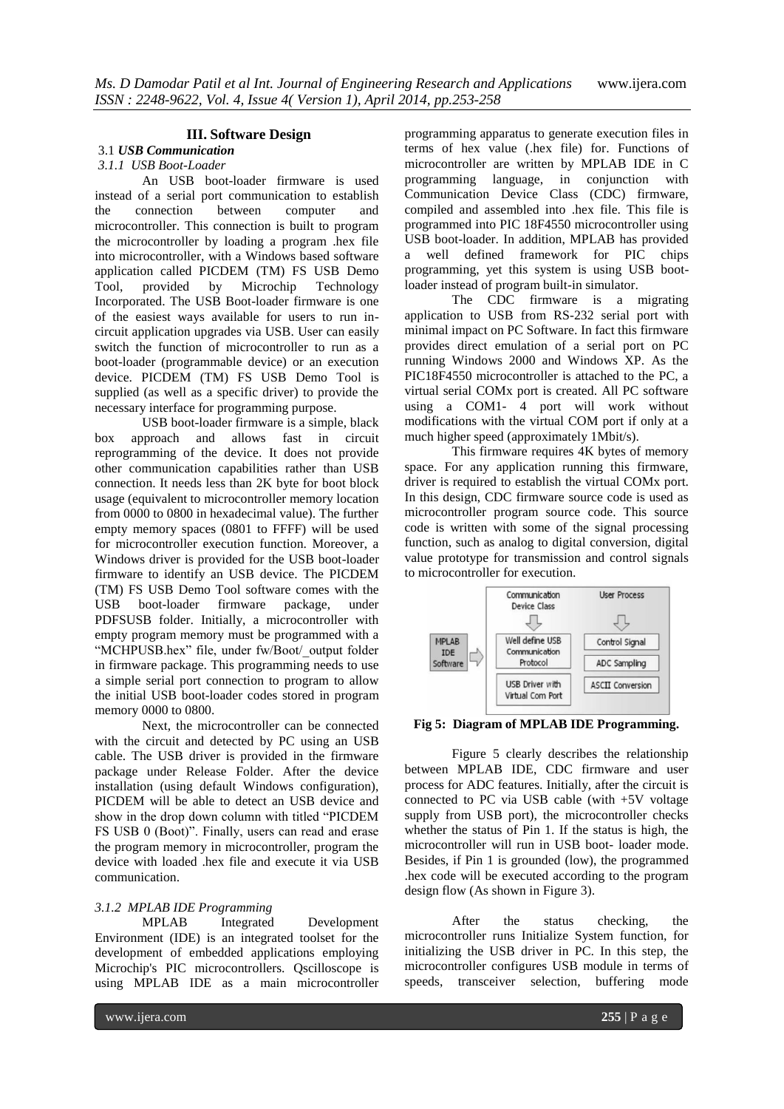#### **III. Software Design**

## 3.1 *USB Communication*

#### *3.1.1 USB Boot-Loader*

An USB boot-loader firmware is used instead of a serial port communication to establish the connection between computer and microcontroller. This connection is built to program the microcontroller by loading a program .hex file into microcontroller, with a Windows based software application called PICDEM (TM) FS USB Demo Tool, provided by Microchip Technology Incorporated. The USB Boot-loader firmware is one of the easiest ways available for users to run incircuit application upgrades via USB. User can easily switch the function of microcontroller to run as a boot-loader (programmable device) or an execution device. PICDEM (TM) FS USB Demo Tool is supplied (as well as a specific driver) to provide the necessary interface for programming purpose.

USB boot-loader firmware is a simple, black box approach and allows fast in circuit reprogramming of the device. It does not provide other communication capabilities rather than USB connection. It needs less than 2K byte for boot block usage (equivalent to microcontroller memory location from 0000 to 0800 in hexadecimal value). The further empty memory spaces (0801 to FFFF) will be used for microcontroller execution function. Moreover, a Windows driver is provided for the USB boot-loader firmware to identify an USB device. The PICDEM (TM) FS USB Demo Tool software comes with the USB boot-loader firmware package, under PDFSUSB folder. Initially, a microcontroller with empty program memory must be programmed with a "MCHPUSB.hex" file, under fw/Boot/\_output folder in firmware package. This programming needs to use a simple serial port connection to program to allow the initial USB boot-loader codes stored in program memory 0000 to 0800.

Next, the microcontroller can be connected with the circuit and detected by PC using an USB cable. The USB driver is provided in the firmware package under Release Folder. After the device installation (using default Windows configuration), PICDEM will be able to detect an USB device and show in the drop down column with titled "PICDEM FS USB 0 (Boot)". Finally, users can read and erase the program memory in microcontroller, program the device with loaded .hex file and execute it via USB communication.

#### *3.1.2 MPLAB IDE Programming*

MPLAB Integrated Development Environment (IDE) is an integrated toolset for the development of embedded applications employing Microchip's PIC microcontrollers. Qscilloscope is using MPLAB IDE as a main microcontroller programming apparatus to generate execution files in terms of hex value (.hex file) for. Functions of microcontroller are written by MPLAB IDE in C programming language, in conjunction with Communication Device Class (CDC) firmware, compiled and assembled into .hex file. This file is programmed into PIC 18F4550 microcontroller using USB boot-loader. In addition, MPLAB has provided a well defined framework for PIC chips programming, yet this system is using USB bootloader instead of program built-in simulator.

The CDC firmware is a migrating application to USB from RS-232 serial port with minimal impact on PC Software. In fact this firmware provides direct emulation of a serial port on PC running Windows 2000 and Windows XP. As the PIC18F4550 microcontroller is attached to the PC, a virtual serial COMx port is created. All PC software using a COM1- 4 port will work without modifications with the virtual COM port if only at a much higher speed (approximately 1Mbit/s).

This firmware requires 4K bytes of memory space. For any application running this firmware, driver is required to establish the virtual COMx port. In this design, CDC firmware source code is used as microcontroller program source code. This source code is written with some of the signal processing function, such as analog to digital conversion, digital value prototype for transmission and control signals to microcontroller for execution.



**Fig 5: Diagram of MPLAB IDE Programming.**

Figure 5 clearly describes the relationship between MPLAB IDE, CDC firmware and user process for ADC features. Initially, after the circuit is connected to PC via USB cable (with +5V voltage supply from USB port), the microcontroller checks whether the status of Pin 1. If the status is high, the microcontroller will run in USB boot- loader mode. Besides, if Pin 1 is grounded (low), the programmed .hex code will be executed according to the program design flow (As shown in Figure 3).

After the status checking, the microcontroller runs Initialize System function, for initializing the USB driver in PC. In this step, the microcontroller configures USB module in terms of speeds, transceiver selection, buffering mode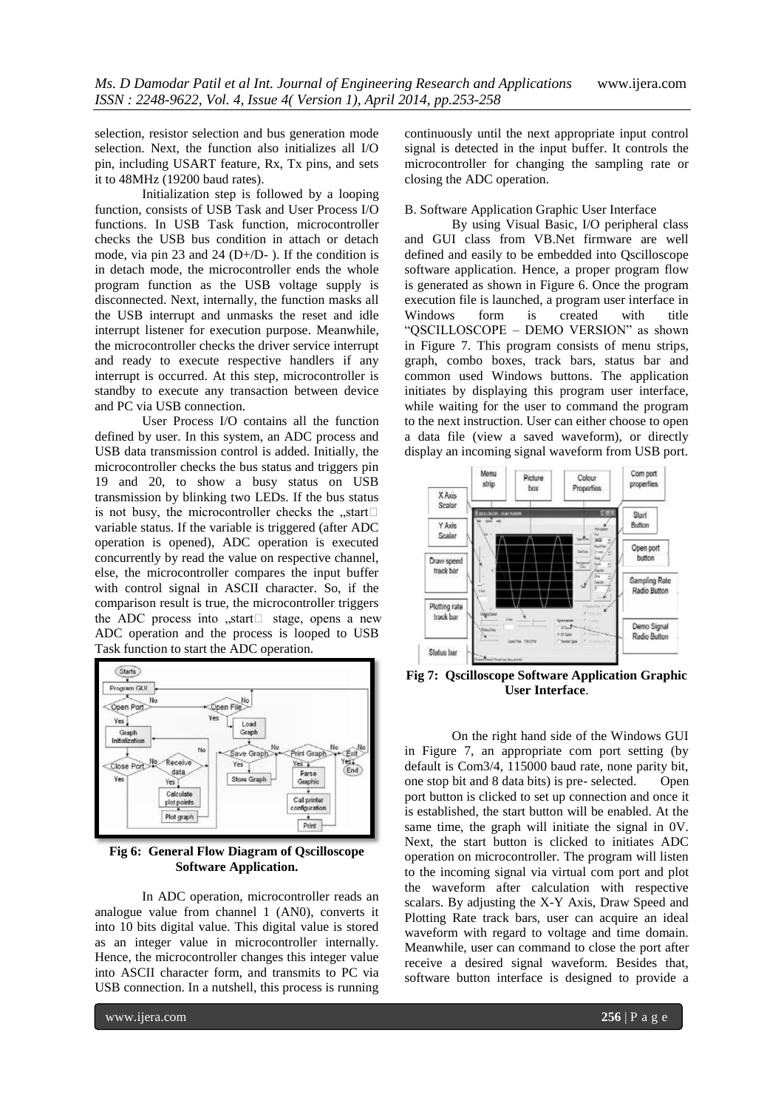selection, resistor selection and bus generation mode selection. Next, the function also initializes all I/O pin, including USART feature, Rx, Tx pins, and sets it to 48MHz (19200 baud rates).

Initialization step is followed by a looping function, consists of USB Task and User Process I/O functions. In USB Task function, microcontroller checks the USB bus condition in attach or detach mode, via pin 23 and 24 (D+/D- ). If the condition is in detach mode, the microcontroller ends the whole program function as the USB voltage supply is disconnected. Next, internally, the function masks all the USB interrupt and unmasks the reset and idle interrupt listener for execution purpose. Meanwhile, the microcontroller checks the driver service interrupt and ready to execute respective handlers if any interrupt is occurred. At this step, microcontroller is standby to execute any transaction between device and PC via USB connection.

User Process I/O contains all the function defined by user. In this system, an ADC process and USB data transmission control is added. Initially, the microcontroller checks the bus status and triggers pin 19 and 20, to show a busy status on USB transmission by blinking two LEDs. If the bus status is not busy, the microcontroller checks the  $n$ start $\Box$ variable status. If the variable is triggered (after ADC operation is opened), ADC operation is executed concurrently by read the value on respective channel, else, the microcontroller compares the input buffer with control signal in ASCII character. So, if the comparison result is true, the microcontroller triggers the ADC process into  $\sqrt{s}$  start stage, opens a new ADC operation and the process is looped to USB Task function to start the ADC operation.



**Fig 6: General Flow Diagram of Qscilloscope Software Application.**

In ADC operation, microcontroller reads an analogue value from channel 1 (AN0), converts it into 10 bits digital value. This digital value is stored as an integer value in microcontroller internally. Hence, the microcontroller changes this integer value into ASCII character form, and transmits to PC via USB connection. In a nutshell, this process is running continuously until the next appropriate input control signal is detected in the input buffer. It controls the microcontroller for changing the sampling rate or closing the ADC operation.

#### B. Software Application Graphic User Interface

By using Visual Basic, I/O peripheral class and GUI class from VB.Net firmware are well defined and easily to be embedded into Qscilloscope software application. Hence, a proper program flow is generated as shown in Figure 6. Once the program execution file is launched, a program user interface in Windows form is created with title "QSCILLOSCOPE – DEMO VERSION" as shown in Figure 7. This program consists of menu strips, graph, combo boxes, track bars, status bar and common used Windows buttons. The application initiates by displaying this program user interface, while waiting for the user to command the program to the next instruction. User can either choose to open a data file (view a saved waveform), or directly display an incoming signal waveform from USB port.



**Fig 7: Qscilloscope Software Application Graphic User Interface**.

On the right hand side of the Windows GUI in Figure 7, an appropriate com port setting (by default is Com3/4, 115000 baud rate, none parity bit, one stop bit and 8 data bits) is pre- selected. Open port button is clicked to set up connection and once it is established, the start button will be enabled. At the same time, the graph will initiate the signal in 0V. Next, the start button is clicked to initiates ADC operation on microcontroller. The program will listen to the incoming signal via virtual com port and plot the waveform after calculation with respective scalars. By adjusting the X-Y Axis, Draw Speed and Plotting Rate track bars, user can acquire an ideal waveform with regard to voltage and time domain. Meanwhile, user can command to close the port after receive a desired signal waveform. Besides that, software button interface is designed to provide a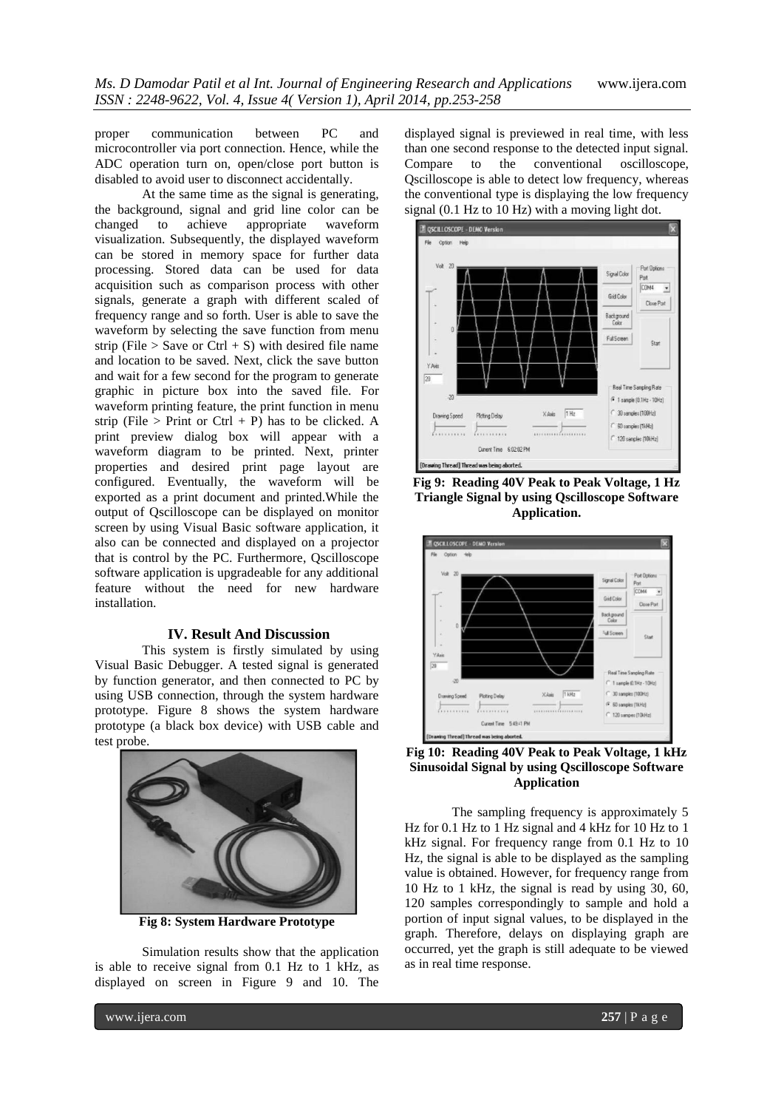proper communication between PC and microcontroller via port connection. Hence, while the ADC operation turn on, open/close port button is disabled to avoid user to disconnect accidentally.

At the same time as the signal is generating, the background, signal and grid line color can be changed to achieve appropriate waveform achieve appropriate waveform visualization. Subsequently, the displayed waveform can be stored in memory space for further data processing. Stored data can be used for data acquisition such as comparison process with other signals, generate a graph with different scaled of frequency range and so forth. User is able to save the waveform by selecting the save function from menu strip (File  $>$  Save or Ctrl + S) with desired file name and location to be saved. Next, click the save button and wait for a few second for the program to generate graphic in picture box into the saved file. For waveform printing feature, the print function in menu strip (File > Print or Ctrl + P) has to be clicked. A print preview dialog box will appear with a waveform diagram to be printed. Next, printer properties and desired print page layout are configured. Eventually, the waveform will be exported as a print document and printed.While the output of Qscilloscope can be displayed on monitor screen by using Visual Basic software application, it also can be connected and displayed on a projector that is control by the PC. Furthermore, Qscilloscope software application is upgradeable for any additional feature without the need for new hardware installation.

#### **IV. Result And Discussion**

This system is firstly simulated by using Visual Basic Debugger. A tested signal is generated by function generator, and then connected to PC by using USB connection, through the system hardware prototype. Figure 8 shows the system hardware prototype (a black box device) with USB cable and test probe.



**Fig 8: System Hardware Prototype**

Simulation results show that the application is able to receive signal from 0.1 Hz to 1 kHz, as displayed on screen in Figure 9 and 10. The

displayed signal is previewed in real time, with less than one second response to the detected input signal. Compare to the conventional oscilloscope, Qscilloscope is able to detect low frequency, whereas the conventional type is displaying the low frequency signal (0.1 Hz to 10 Hz) with a moving light dot.



**Fig 9: Reading 40V Peak to Peak Voltage, 1 Hz Triangle Signal by using Qscilloscope Software Application.**



**Fig 10: Reading 40V Peak to Peak Voltage, 1 kHz Sinusoidal Signal by using Qscilloscope Software Application**

The sampling frequency is approximately 5 Hz for 0.1 Hz to 1 Hz signal and 4 kHz for 10 Hz to 1 kHz signal. For frequency range from 0.1 Hz to 10 Hz, the signal is able to be displayed as the sampling value is obtained. However, for frequency range from 10 Hz to 1 kHz, the signal is read by using 30, 60, 120 samples correspondingly to sample and hold a portion of input signal values, to be displayed in the graph. Therefore, delays on displaying graph are occurred, yet the graph is still adequate to be viewed as in real time response.